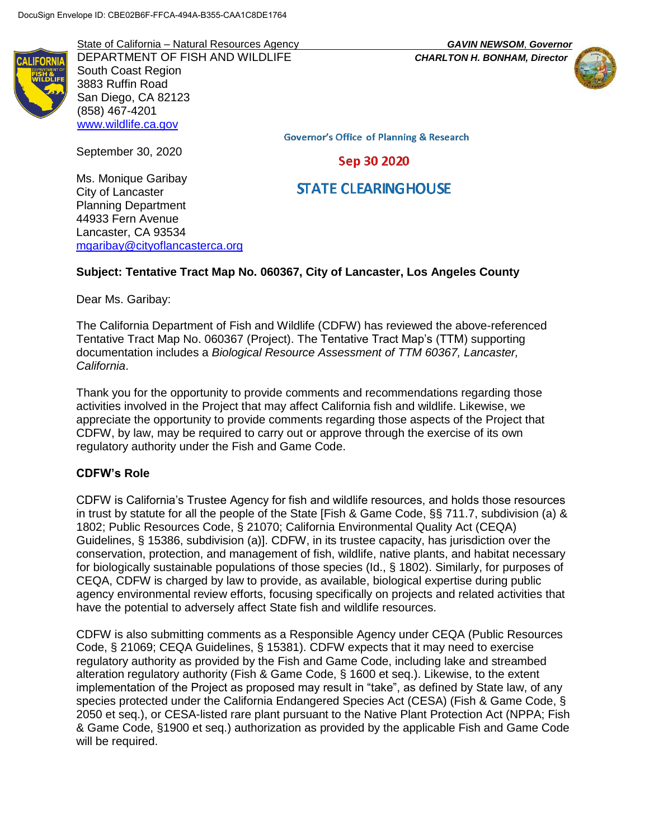State of California – Natural Resources Agency *GAVIN NEWSOM*, *Governor* DEPARTMENT OF FISH AND WILDLIFE *CHARLTON H. BONHAM, Director* South Coast Region 3883 Ruffin Road San Diego, CA 82123 (858) 467-4201 [www.wildlife.ca.gov](http://www.wildlife.ca.gov/)

September 30, 2020



**Governor's Office of Planning & Research** 

Sep 30 2020

**STATE CLEARING HOUSE** 

Ms. Monique Garibay City of Lancaster Planning Department 44933 Fern Avenue Lancaster, CA 93534 mgaribay@cityoflancasterca.org

# **Subject: Tentative Tract Map No. 060367, City of Lancaster, Los Angeles County**

Dear Ms. Garibay:

The California Department of Fish and Wildlife (CDFW) has reviewed the above-referenced Tentative Tract Map No. 060367 (Project). The Tentative Tract Map's (TTM) supporting documentation includes a *Biological Resource Assessment of TTM 60367, Lancaster, California*.

Thank you for the opportunity to provide comments and recommendations regarding those activities involved in the Project that may affect California fish and wildlife. Likewise, we appreciate the opportunity to provide comments regarding those aspects of the Project that CDFW, by law, may be required to carry out or approve through the exercise of its own regulatory authority under the Fish and Game Code.

#### **CDFW's Role**

CDFW is California's Trustee Agency for fish and wildlife resources, and holds those resources in trust by statute for all the people of the State [Fish & Game Code, §§ 711.7, subdivision (a) & 1802; Public Resources Code, § 21070; California Environmental Quality Act (CEQA) Guidelines, § 15386, subdivision (a)]. CDFW, in its trustee capacity, has jurisdiction over the conservation, protection, and management of fish, wildlife, native plants, and habitat necessary for biologically sustainable populations of those species (Id., § 1802). Similarly, for purposes of CEQA, CDFW is charged by law to provide, as available, biological expertise during public agency environmental review efforts, focusing specifically on projects and related activities that have the potential to adversely affect State fish and wildlife resources.

CDFW is also submitting comments as a Responsible Agency under CEQA (Public Resources Code, § 21069; CEQA Guidelines, § 15381). CDFW expects that it may need to exercise regulatory authority as provided by the Fish and Game Code, including lake and streambed alteration regulatory authority (Fish & Game Code, § 1600 et seq.). Likewise, to the extent implementation of the Project as proposed may result in "take", as defined by State law, of any species protected under the California Endangered Species Act (CESA) (Fish & Game Code, § 2050 et seq.), or CESA-listed rare plant pursuant to the Native Plant Protection Act (NPPA; Fish & Game Code, §1900 et seq.) authorization as provided by the applicable Fish and Game Code will be required.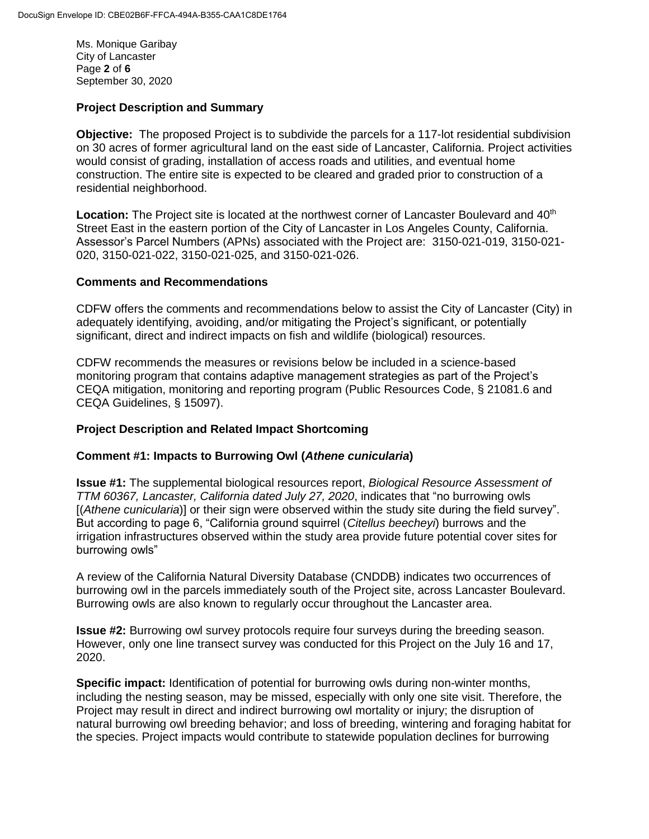Ms. Monique Garibay City of Lancaster Page **2** of **6** September 30, 2020

## **Project Description and Summary**

**Objective:** The proposed Project is to subdivide the parcels for a 117-lot residential subdivision on 30 acres of former agricultural land on the east side of Lancaster, California. Project activities would consist of grading, installation of access roads and utilities, and eventual home construction. The entire site is expected to be cleared and graded prior to construction of a residential neighborhood.

Location: The Project site is located at the northwest corner of Lancaster Boulevard and 40<sup>th</sup> Street East in the eastern portion of the City of Lancaster in Los Angeles County, California. Assessor's Parcel Numbers (APNs) associated with the Project are: 3150-021-019, 3150-021- 020, 3150-021-022, 3150-021-025, and 3150-021-026.

#### **Comments and Recommendations**

CDFW offers the comments and recommendations below to assist the City of Lancaster (City) in adequately identifying, avoiding, and/or mitigating the Project's significant, or potentially significant, direct and indirect impacts on fish and wildlife (biological) resources.

CDFW recommends the measures or revisions below be included in a science-based monitoring program that contains adaptive management strategies as part of the Project's CEQA mitigation, monitoring and reporting program (Public Resources Code, § 21081.6 and CEQA Guidelines, § 15097).

#### **Project Description and Related Impact Shortcoming**

#### **Comment #1: Impacts to Burrowing Owl (***Athene cunicularia***)**

**Issue #1:** The supplemental biological resources report, *Biological Resource Assessment of TTM 60367, Lancaster, California dated July 27, 2020*, indicates that "no burrowing owls [(*Athene cunicularia*)] or their sign were observed within the study site during the field survey". But according to page 6, "California ground squirrel (*Citellus beecheyi*) burrows and the irrigation infrastructures observed within the study area provide future potential cover sites for burrowing owls"

A review of the California Natural Diversity Database (CNDDB) indicates two occurrences of burrowing owl in the parcels immediately south of the Project site, across Lancaster Boulevard. Burrowing owls are also known to regularly occur throughout the Lancaster area.

**Issue #2:** Burrowing owl survey protocols require four surveys during the breeding season. However, only one line transect survey was conducted for this Project on the July 16 and 17, 2020.

**Specific impact:** Identification of potential for burrowing owls during non-winter months, including the nesting season, may be missed, especially with only one site visit. Therefore, the Project may result in direct and indirect burrowing owl mortality or injury; the disruption of natural burrowing owl breeding behavior; and loss of breeding, wintering and foraging habitat for the species. Project impacts would contribute to statewide population declines for burrowing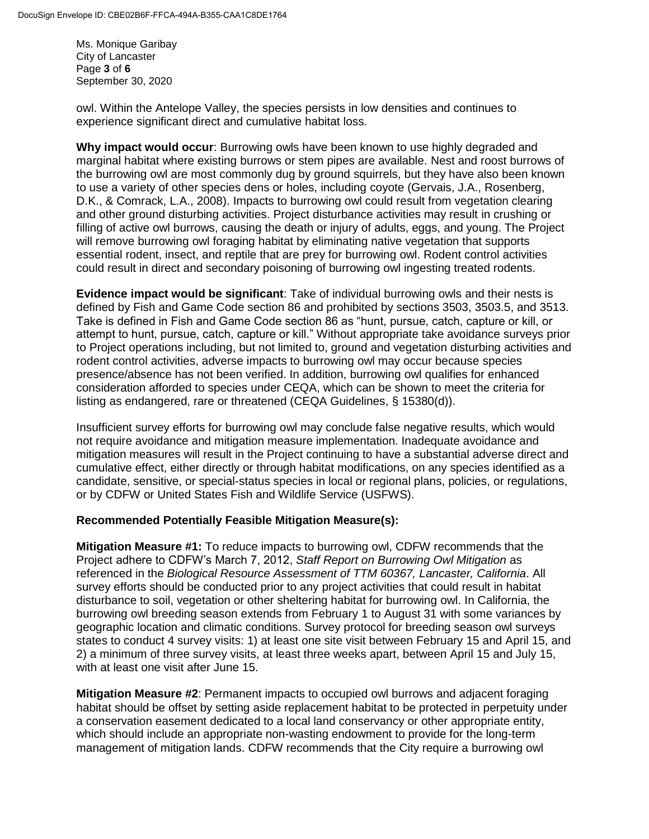Ms. Monique Garibay City of Lancaster Page **3** of **6** September 30, 2020

owl. Within the Antelope Valley, the species persists in low densities and continues to experience significant direct and cumulative habitat loss.

**Why impact would occur**: Burrowing owls have been known to use highly degraded and marginal habitat where existing burrows or stem pipes are available. Nest and roost burrows of the burrowing owl are most commonly dug by ground squirrels, but they have also been known to use a variety of other species dens or holes, including coyote (Gervais, J.A., Rosenberg, D.K., & Comrack, L.A., 2008). Impacts to burrowing owl could result from vegetation clearing and other ground disturbing activities. Project disturbance activities may result in crushing or filling of active owl burrows, causing the death or injury of adults, eggs, and young. The Project will remove burrowing owl foraging habitat by eliminating native vegetation that supports essential rodent, insect, and reptile that are prey for burrowing owl. Rodent control activities could result in direct and secondary poisoning of burrowing owl ingesting treated rodents.

**Evidence impact would be significant**: Take of individual burrowing owls and their nests is defined by Fish and Game Code section 86 and prohibited by sections 3503, 3503.5, and 3513. Take is defined in Fish and Game Code section 86 as "hunt, pursue, catch, capture or kill, or attempt to hunt, pursue, catch, capture or kill." Without appropriate take avoidance surveys prior to Project operations including, but not limited to, ground and vegetation disturbing activities and rodent control activities, adverse impacts to burrowing owl may occur because species presence/absence has not been verified. In addition, burrowing owl qualifies for enhanced consideration afforded to species under CEQA, which can be shown to meet the criteria for listing as endangered, rare or threatened (CEQA Guidelines, § 15380(d)).

Insufficient survey efforts for burrowing owl may conclude false negative results, which would not require avoidance and mitigation measure implementation. Inadequate avoidance and mitigation measures will result in the Project continuing to have a substantial adverse direct and cumulative effect, either directly or through habitat modifications, on any species identified as a candidate, sensitive, or special-status species in local or regional plans, policies, or regulations, or by CDFW or United States Fish and Wildlife Service (USFWS).

#### **Recommended Potentially Feasible Mitigation Measure(s):**

**Mitigation Measure #1:** To reduce impacts to burrowing owl, CDFW recommends that the Project adhere to CDFW's March 7, 2012, *Staff Report on Burrowing Owl Mitigation* as referenced in the *Biological Resource Assessment of TTM 60367, Lancaster, California*. All survey efforts should be conducted prior to any project activities that could result in habitat disturbance to soil, vegetation or other sheltering habitat for burrowing owl. In California, the burrowing owl breeding season extends from February 1 to August 31 with some variances by geographic location and climatic conditions. Survey protocol for breeding season owl surveys states to conduct 4 survey visits: 1) at least one site visit between February 15 and April 15, and 2) a minimum of three survey visits, at least three weeks apart, between April 15 and July 15, with at least one visit after June 15.

**Mitigation Measure #2**: Permanent impacts to occupied owl burrows and adjacent foraging habitat should be offset by setting aside replacement habitat to be protected in perpetuity under a conservation easement dedicated to a local land conservancy or other appropriate entity, which should include an appropriate non-wasting endowment to provide for the long-term management of mitigation lands. CDFW recommends that the City require a burrowing owl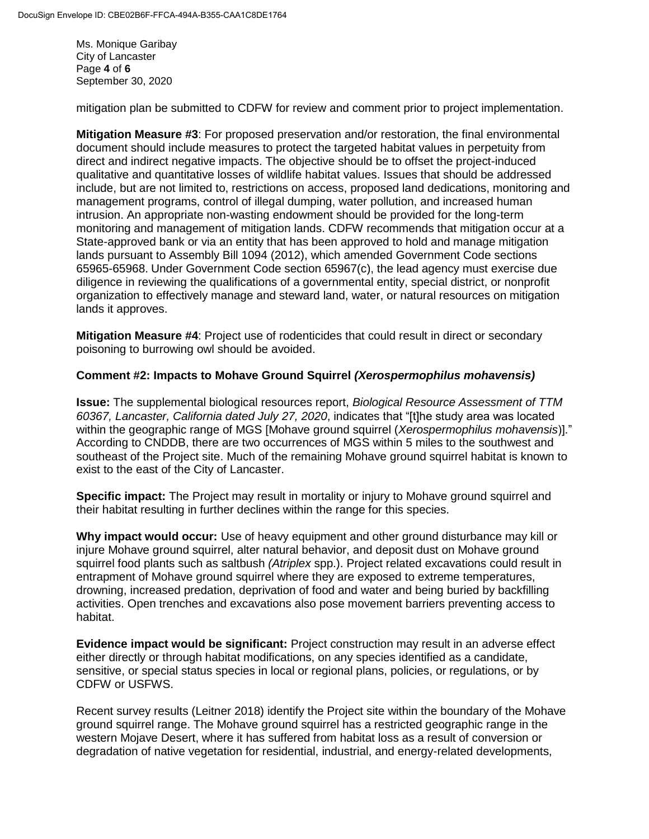Ms. Monique Garibay City of Lancaster Page **4** of **6** September 30, 2020

mitigation plan be submitted to CDFW for review and comment prior to project implementation.

**Mitigation Measure #3**: For proposed preservation and/or restoration, the final environmental document should include measures to protect the targeted habitat values in perpetuity from direct and indirect negative impacts. The objective should be to offset the project-induced qualitative and quantitative losses of wildlife habitat values. Issues that should be addressed include, but are not limited to, restrictions on access, proposed land dedications, monitoring and management programs, control of illegal dumping, water pollution, and increased human intrusion. An appropriate non-wasting endowment should be provided for the long-term monitoring and management of mitigation lands. CDFW recommends that mitigation occur at a State-approved bank or via an entity that has been approved to hold and manage mitigation lands pursuant to Assembly Bill 1094 (2012), which amended [Government Code sections](http://www.leginfo.ca.gov/cgi-bin/displaycode?section=gov&group=65001-66000&file=65965-65968)  [65965-65968.](http://www.leginfo.ca.gov/cgi-bin/displaycode?section=gov&group=65001-66000&file=65965-65968) Under Government Code section 65967(c), the lead agency must exercise due diligence in reviewing the qualifications of a governmental entity, special district, or nonprofit organization to effectively manage and steward land, water, or natural resources on mitigation lands it approves.

**Mitigation Measure #4**: Project use of rodenticides that could result in direct or secondary poisoning to burrowing owl should be avoided.

#### **Comment #2: Impacts to Mohave Ground Squirrel** *(Xerospermophilus mohavensis)*

**Issue:** The supplemental biological resources report, *Biological Resource Assessment of TTM 60367, Lancaster, California dated July 27, 2020*, indicates that "[t]he study area was located within the geographic range of MGS [Mohave ground squirrel (*Xerospermophilus mohavensis*)]." According to CNDDB, there are two occurrences of MGS within 5 miles to the southwest and southeast of the Project site. Much of the remaining Mohave ground squirrel habitat is known to exist to the east of the City of Lancaster.

**Specific impact:** The Project may result in mortality or injury to Mohave ground squirrel and their habitat resulting in further declines within the range for this species.

**Why impact would occur:** Use of heavy equipment and other ground disturbance may kill or injure Mohave ground squirrel, alter natural behavior, and deposit dust on Mohave ground squirrel food plants such as saltbush *(Atriplex* spp.). Project related excavations could result in entrapment of Mohave ground squirrel where they are exposed to extreme temperatures, drowning, increased predation, deprivation of food and water and being buried by backfilling activities. Open trenches and excavations also pose movement barriers preventing access to habitat.

**Evidence impact would be significant:** Project construction may result in an adverse effect either directly or through habitat modifications, on any species identified as a candidate, sensitive, or special status species in local or regional plans, policies, or regulations, or by CDFW or USFWS.

Recent survey results (Leitner 2018) identify the Project site within the boundary of the Mohave ground squirrel range. The Mohave ground squirrel has a restricted geographic range in the western Mojave Desert, where it has suffered from habitat loss as a result of conversion or degradation of native vegetation for residential, industrial, and energy-related developments,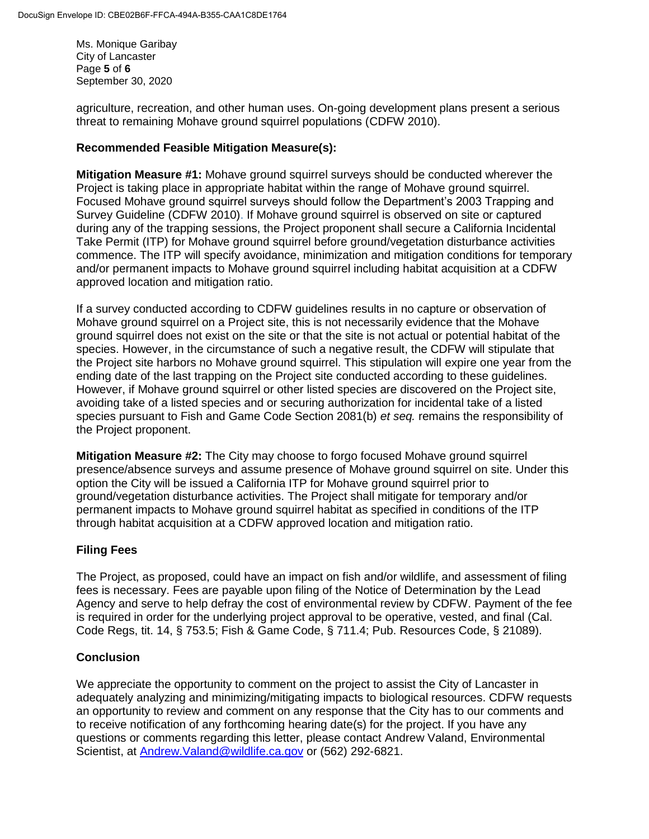Ms. Monique Garibay City of Lancaster Page **5** of **6** September 30, 2020

agriculture, recreation, and other human uses. On-going development plans present a serious threat to remaining Mohave ground squirrel populations (CDFW 2010).

## **Recommended Feasible Mitigation Measure(s):**

**Mitigation Measure #1:** Mohave ground squirrel surveys should be conducted wherever the Project is taking place in appropriate habitat within the range of Mohave ground squirrel. Focused Mohave ground squirrel surveys should follow the Department's 2003 Trapping and Survey Guideline (CDFW 2010). If Mohave ground squirrel is observed on site or captured during any of the trapping sessions, the Project proponent shall secure a California Incidental Take Permit (ITP) for Mohave ground squirrel before ground/vegetation disturbance activities commence. The ITP will specify avoidance, minimization and mitigation conditions for temporary and/or permanent impacts to Mohave ground squirrel including habitat acquisition at a CDFW approved location and mitigation ratio.

If a survey conducted according to CDFW guidelines results in no capture or observation of Mohave ground squirrel on a Project site, this is not necessarily evidence that the Mohave ground squirrel does not exist on the site or that the site is not actual or potential habitat of the species. However, in the circumstance of such a negative result, the CDFW will stipulate that the Project site harbors no Mohave ground squirrel. This stipulation will expire one year from the ending date of the last trapping on the Project site conducted according to these guidelines. However, if Mohave ground squirrel or other listed species are discovered on the Project site, avoiding take of a listed species and or securing authorization for incidental take of a listed species pursuant to Fish and Game Code Section 2081(b) *et seq.* remains the responsibility of the Project proponent.

**Mitigation Measure #2:** The City may choose to forgo focused Mohave ground squirrel presence/absence surveys and assume presence of Mohave ground squirrel on site. Under this option the City will be issued a California ITP for Mohave ground squirrel prior to ground/vegetation disturbance activities. The Project shall mitigate for temporary and/or permanent impacts to Mohave ground squirrel habitat as specified in conditions of the ITP through habitat acquisition at a CDFW approved location and mitigation ratio.

# **Filing Fees**

The Project, as proposed, could have an impact on fish and/or wildlife, and assessment of filing fees is necessary. Fees are payable upon filing of the Notice of Determination by the Lead Agency and serve to help defray the cost of environmental review by CDFW. Payment of the fee is required in order for the underlying project approval to be operative, vested, and final (Cal. Code Regs, tit. 14, § 753.5; Fish & Game Code, § 711.4; Pub. Resources Code, § 21089).

# **Conclusion**

We appreciate the opportunity to comment on the project to assist the City of Lancaster in adequately analyzing and minimizing/mitigating impacts to biological resources. CDFW requests an opportunity to review and comment on any response that the City has to our comments and to receive notification of any forthcoming hearing date(s) for the project. If you have any questions or comments regarding this letter, please contact Andrew Valand, Environmental Scientist, at [Andrew.Valand@wildlife.ca.gov](mailto:Andrew.Valand@wildlife.ca.gov) or (562) 292-6821.